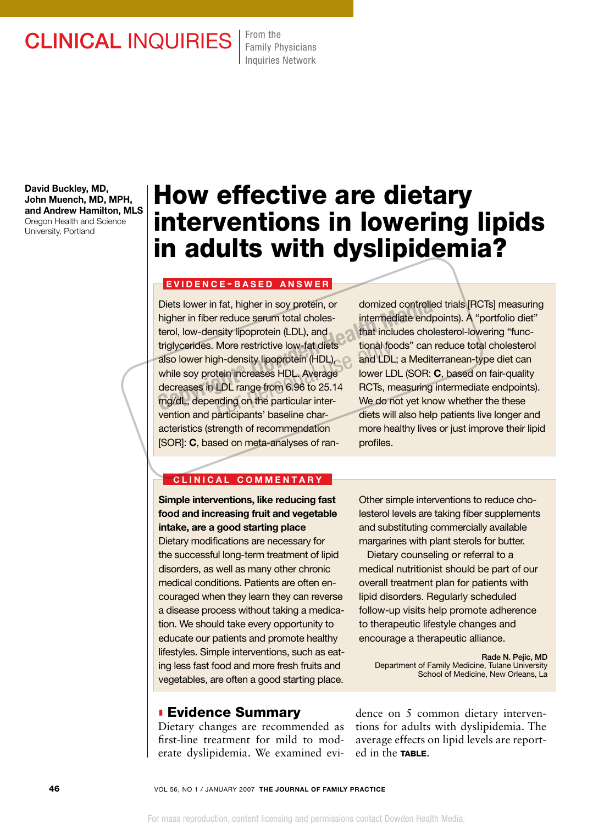## CLINICAL INQUIRIES From the

Family Physicians Inquiries Network

David Buckley, MD, John Muench, MD, MPH, and Andrew Hamilton, MLS Oregon Health and Science University, Portland

# How effective are dietary interventions in lowering lipids in adults with dyslipidemia?

#### **EVIDENCE-BASED ANSWER**

Diets lower in fat, higher in soy protein, or higher in fiber reduce serum total cholesterol, low-density lipoprotein (LDL), and triglycerides. More restrictive low-fat diets also lower high-density lipoprotein (HDL), while soy protein increases HDL. Average decreases in LDL range from 6.96 to 25.14 mg/dL, depending on the particular intervention and participants' baseline characteristics (strength of recommendation [SOR]: C, based on meta-analyses of ran-Diets lower in fat, higher in soy protein, or domized controlled<br>
higher in fiber reduce serum total choles-<br>
triermediate endpo<br>
terol, low-density lipoprotein (LDL), and<br>
triglycerides. More restrictive low-fat diets<br>
an More restrictive low-fat diets<br>
gh-density lipoprotein (HDL), and LDL<br>
tein increases HDL. Average lower LD<br>
LDL range from 6.96 to 25.14 RCTs, m<br>
nding on the particular inter-<br>
Ne do n

domized controlled trials [RCTs] measuring intermediate endpoints). A "portfolio diet" that includes cholesterol-lowering "functional foods" can reduce total cholesterol and LDL; a Mediterranean-type diet can lower LDL (SOR: C, based on fair-quality RCTs, measuring intermediate endpoints). We do not yet know whether the these diets will also help patients live longer and more healthy lives or just improve their lipid profiles.

#### CLINICAL COMMENTARY

Simple interventions, like reducing fast food and increasing fruit and vegetable intake, are a good starting place Dietary modifications are necessary for the successful long-term treatment of lipid disorders, as well as many other chronic medical conditions. Patients are often encouraged when they learn they can reverse a disease process without taking a medication. We should take every opportunity to educate our patients and promote healthy lifestyles. Simple interventions, such as eating less fast food and more fresh fruits and vegetables, are often a good starting place.

### **Evidence Summary**

Dietary changes are recommended as first-line treatment for mild to moderate dyslipidemia. We examined eviOther simple interventions to reduce cholesterol levels are taking fiber supplements and substituting commercially available margarines with plant sterols for butter.

 Dietary counseling or referral to a medical nutritionist should be part of our overall treatment plan for patients with lipid disorders. Regularly scheduled follow-up visits help promote adherence to therapeutic lifestyle changes and encourage a therapeutic alliance.

Rade N. Pejic, MD Department of Family Medicine, Tulane University School of Medicine, New Orleans, La

dence on 5 common dietary interventions for adults with dyslipidemia. The average effects on lipid levels are reported in the TABLE.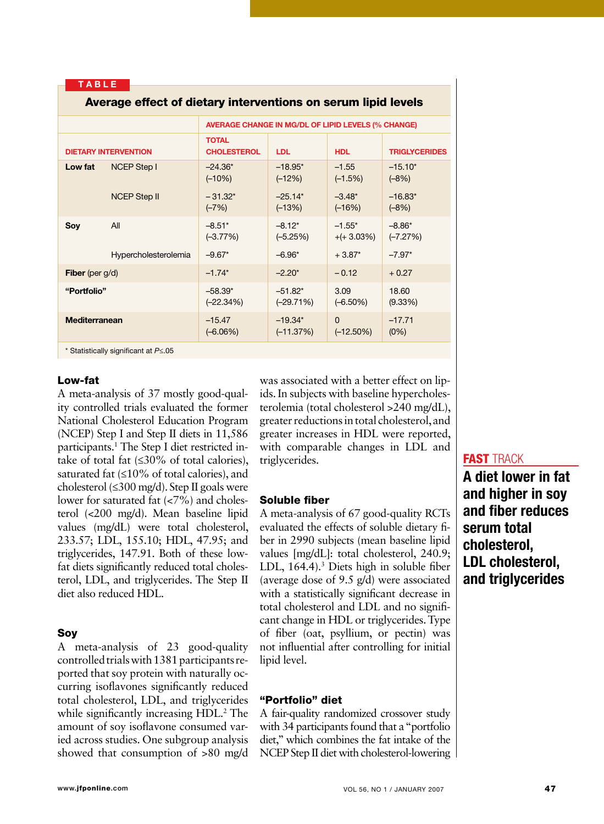TABLE

Average effect of dietary interventions of

| <u>Average effect of dietary interventions on serum lipiu levels</u> |                      |                                                    |                          |                             |                        |
|----------------------------------------------------------------------|----------------------|----------------------------------------------------|--------------------------|-----------------------------|------------------------|
|                                                                      |                      | AVERAGE CHANGE IN MG/DL OF LIPID LEVELS (% CHANGE) |                          |                             |                        |
| <b>DIETARY INTERVENTION</b>                                          |                      | <b>TOTAL</b><br><b>CHOLESTEROL</b>                 | <b>LDL</b>               | <b>HDL</b>                  | <b>TRIGLYCERIDES</b>   |
| Low fat                                                              | <b>NCEP Step I</b>   | $-24.36*$<br>$(-10%)$                              | $-18.95*$<br>$(-12%)$    | $-1.55$<br>$(-1.5%)$        | $-15.10*$<br>$(-8%)$   |
|                                                                      | <b>NCEP Step II</b>  | $-31.32*$<br>$(-7%)$                               | $-25.14*$<br>$(-13%)$    | $-3.48*$<br>$(-16%)$        | $-16.83*$<br>$(-8%)$   |
| Soy                                                                  | All                  | $-8.51*$<br>$(-3.77%)$                             | $-8.12*$<br>$(-5.25%)$   | $-1.55*$<br>$+(+3.03\%)$    | $-8.86*$<br>$(-7.27%)$ |
|                                                                      | Hypercholesterolemia | $-9.67*$                                           | $-6.96*$                 | $+3.87*$                    | $-7.97*$               |
| <b>Fiber</b> (per $g/d$ )                                            |                      | $-1.74*$                                           | $-2.20*$                 | $-0.12$                     | $+0.27$                |
| "Portfolio"                                                          |                      | $-58.39*$<br>$(-22.34%)$                           | $-51.82*$<br>$(-29.71%)$ | 3.09<br>$(-6.50\%)$         | 18.60<br>$(9.33\%)$    |
| <b>Mediterranean</b>                                                 |                      | $-15.47$<br>$(-6.06%)$                             | $-19.34*$<br>$(-11.37%)$ | $\mathbf 0$<br>$(-12.50\%)$ | $-17.71$<br>(0%)       |

\* Statistically significant at *P*≤.05

#### Low-fat

A meta-analysis of 37 mostly good-quality controlled trials evaluated the former National Cholesterol Education Program (NCEP) Step I and Step II diets in 11,586 participants.1 The Step I diet restricted intake of total fat (≤30% of total calories), saturated fat (≤10% of total calories), and cholesterol (≤300 mg/d). Step II goals were lower for saturated fat  $(<7\%)$  and cholesterol (<200 mg/d). Mean baseline lipid values (mg/dL) were total cholesterol, 233.57; LDL, 155.10; HDL, 47.95; and triglycerides, 147.91. Both of these lowfat diets significantly reduced total cholesterol, LDL, and triglycerides. The Step II diet also reduced HDL.

#### Soy

A meta-analysis of 23 good-quality controlled trials with 1381 participants reported that soy protein with naturally occurring isoflavones significantly reduced total cholesterol, LDL, and triglycerides while significantly increasing HDL.<sup>2</sup> The amount of soy isoflavone consumed varied across studies. One subgroup analysis showed that consumption of >80 mg/d

was associated with a better effect on lipids. In subjects with baseline hypercholesterolemia (total cholesterol >240 mg/dL), greater reductions in total cholesterol, and greater increases in HDL were reported, with comparable changes in LDL and triglycerides.

#### Soluble fiber

A meta-analysis of 67 good-quality RCTs evaluated the effects of soluble dietary fiber in 2990 subjects (mean baseline lipid values [mg/dL]: total cholesterol, 240.9; LDL, 164.4).<sup>3</sup> Diets high in soluble fiber (average dose of 9.5 g/d) were associated with a statistically significant decrease in total cholesterol and LDL and no significant change in HDL or triglycerides. Type of fiber (oat, psyllium, or pectin) was not influential after controlling for initial lipid level.

#### "Portfolio" diet

A fair-quality randomized crossover study with 34 participants found that a "portfolio diet," which combines the fat intake of the NCEP Step II diet with cholesterol-lowering

#### **FAST TRACK**

A diet lower in fat and higher in soy and fiber reduces serum total cholesterol, LDL cholesterol, and triglycerides